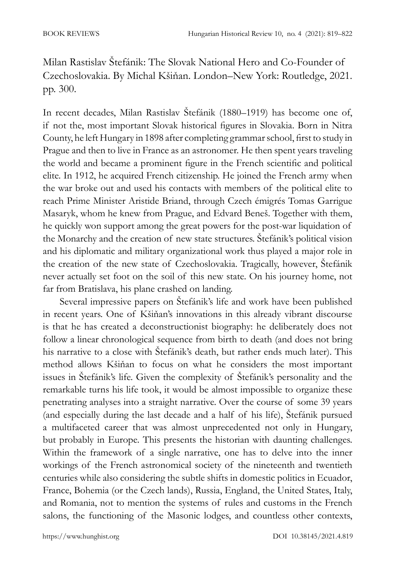Milan Rastislav Štefánik: The Slovak National Hero and Co-Founder of Czechoslovakia. By Michal Kšiňan. London–New York: Routledge, 2021. pp. 300.

In recent decades, Milan Rastislav Štefánik (1880–1919) has become one of, if not the, most important Slovak historical figures in Slovakia. Born in Nitra County, he left Hungary in 1898 after completing grammar school, first to study in Prague and then to live in France as an astronomer. He then spent years traveling the world and became a prominent figure in the French scientific and political elite. In 1912, he acquired French citizenship. He joined the French army when the war broke out and used his contacts with members of the political elite to reach Prime Minister Aristide Briand, through Czech émigrés Tomas Garrigue Masaryk, whom he knew from Prague, and Edvard Beneš. Together with them, he quickly won support among the great powers for the post-war liquidation of the Monarchy and the creation of new state structures. Štefánik's political vision and his diplomatic and military organizational work thus played a major role in the creation of the new state of Czechoslovakia. Tragically, however, Štefánik never actually set foot on the soil of this new state. On his journey home, not far from Bratislava, his plane crashed on landing.

Several impressive papers on Štefánik's life and work have been published in recent years. One of Kšiňan's innovations in this already vibrant discourse is that he has created a deconstructionist biography: he deliberately does not follow a linear chronological sequence from birth to death (and does not bring his narrative to a close with Štefánik's death, but rather ends much later). This method allows Kšiňan to focus on what he considers the most important issues in Štefánik's life. Given the complexity of Štefánik's personality and the remarkable turns his life took, it would be almost impossible to organize these penetrating analyses into a straight narrative. Over the course of some 39 years (and especially during the last decade and a half of his life), Štefánik pursued a multifaceted career that was almost unprecedented not only in Hungary, but probably in Europe. This presents the historian with daunting challenges. Within the framework of a single narrative, one has to delve into the inner workings of the French astronomical society of the nineteenth and twentieth centuries while also considering the subtle shifts in domestic politics in Ecuador, France, Bohemia (or the Czech lands), Russia, England, the United States, Italy, and Romania, not to mention the systems of rules and customs in the French salons, the functioning of the Masonic lodges, and countless other contexts,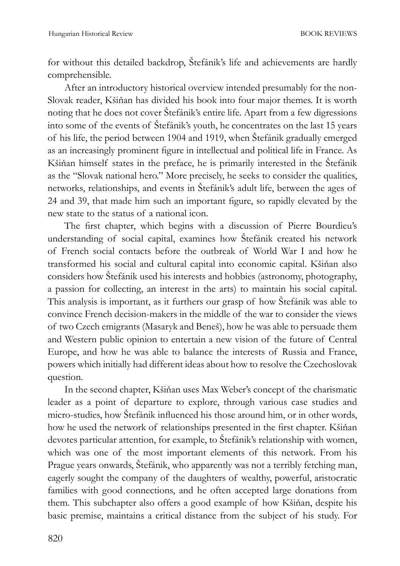for without this detailed backdrop, Štefánik's life and achievements are hardly comprehensible.

After an introductory historical overview intended presumably for the non-Slovak reader, Kšiňan has divided his book into four major themes. It is worth noting that he does not cover Štefánik's entire life. Apart from a few digressions into some of the events of Štefánik's youth, he concentrates on the last 15 years of his life, the period between 1904 and 1919, when Štefánik gradually emerged as an increasingly prominent figure in intellectual and political life in France. As Kšiňan himself states in the preface, he is primarily interested in the Štefánik as the "Slovak national hero." More precisely, he seeks to consider the qualities, networks, relationships, and events in Štefánik's adult life, between the ages of 24 and 39, that made him such an important figure, so rapidly elevated by the new state to the status of a national icon.

The first chapter, which begins with a discussion of Pierre Bourdieu's understanding of social capital, examines how Štefánik created his network of French social contacts before the outbreak of World War I and how he transformed his social and cultural capital into economic capital. Kšiňan also considers how Štefánik used his interests and hobbies (astronomy, photography, a passion for collecting, an interest in the arts) to maintain his social capital. This analysis is important, as it furthers our grasp of how Štefánik was able to convince French decision-makers in the middle of the war to consider the views of two Czech emigrants (Masaryk and Beneš), how he was able to persuade them and Western public opinion to entertain a new vision of the future of Central Europe, and how he was able to balance the interests of Russia and France, powers which initially had different ideas about how to resolve the Czechoslovak question.

In the second chapter, Kšiňan uses Max Weber's concept of the charismatic leader as a point of departure to explore, through various case studies and micro-studies, how Štefánik influenced his those around him, or in other words, how he used the network of relationships presented in the first chapter. Kšiňan devotes particular attention, for example, to Štefánik's relationship with women, which was one of the most important elements of this network. From his Prague years onwards, Štefánik, who apparently was not a terribly fetching man, eagerly sought the company of the daughters of wealthy, powerful, aristocratic families with good connections, and he often accepted large donations from them. This subchapter also offers a good example of how Kšiňan, despite his basic premise, maintains a critical distance from the subject of his study. For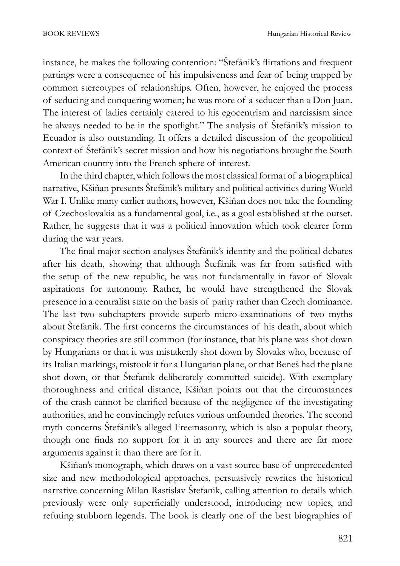instance, he makes the following contention: "Štefánik's flirtations and frequent partings were a consequence of his impulsiveness and fear of being trapped by common stereotypes of relationships. Often, however, he enjoyed the process of seducing and conquering women; he was more of a seducer than a Don Juan. The interest of ladies certainly catered to his egocentrism and narcissism since he always needed to be in the spotlight." The analysis of Štefánik's mission to Ecuador is also outstanding. It offers a detailed discussion of the geopolitical context of Štefánik's secret mission and how his negotiations brought the South American country into the French sphere of interest.

In the third chapter, which follows the most classical format of a biographical narrative, Kšiňan presents Štefánik's military and political activities during World War I. Unlike many earlier authors, however, Kšiňan does not take the founding of Czechoslovakia as a fundamental goal, i.e., as a goal established at the outset. Rather, he suggests that it was a political innovation which took clearer form during the war years.

The final major section analyses Štefánik's identity and the political debates after his death, showing that although Štefánik was far from satisfied with the setup of the new republic, he was not fundamentally in favor of Slovak aspirations for autonomy. Rather, he would have strengthened the Slovak presence in a centralist state on the basis of parity rather than Czech dominance. The last two subchapters provide superb micro-examinations of two myths about Štefanik. The first concerns the circumstances of his death, about which conspiracy theories are still common (for instance, that his plane was shot down by Hungarians or that it was mistakenly shot down by Slovaks who, because of its Italian markings, mistook it for a Hungarian plane, or that Beneš had the plane shot down, or that Štefanik deliberately committed suicide). With exemplary thoroughness and critical distance, Kšiňan points out that the circumstances of the crash cannot be clarified because of the negligence of the investigating authorities, and he convincingly refutes various unfounded theories. The second myth concerns Štefánik's alleged Freemasonry, which is also a popular theory, though one finds no support for it in any sources and there are far more arguments against it than there are for it.

Kšiňan's monograph, which draws on a vast source base of unprecedented size and new methodological approaches, persuasively rewrites the historical narrative concerning Milan Rastislav Štefanik, calling attention to details which previously were only superficially understood, introducing new topics, and refuting stubborn legends. The book is clearly one of the best biographies of